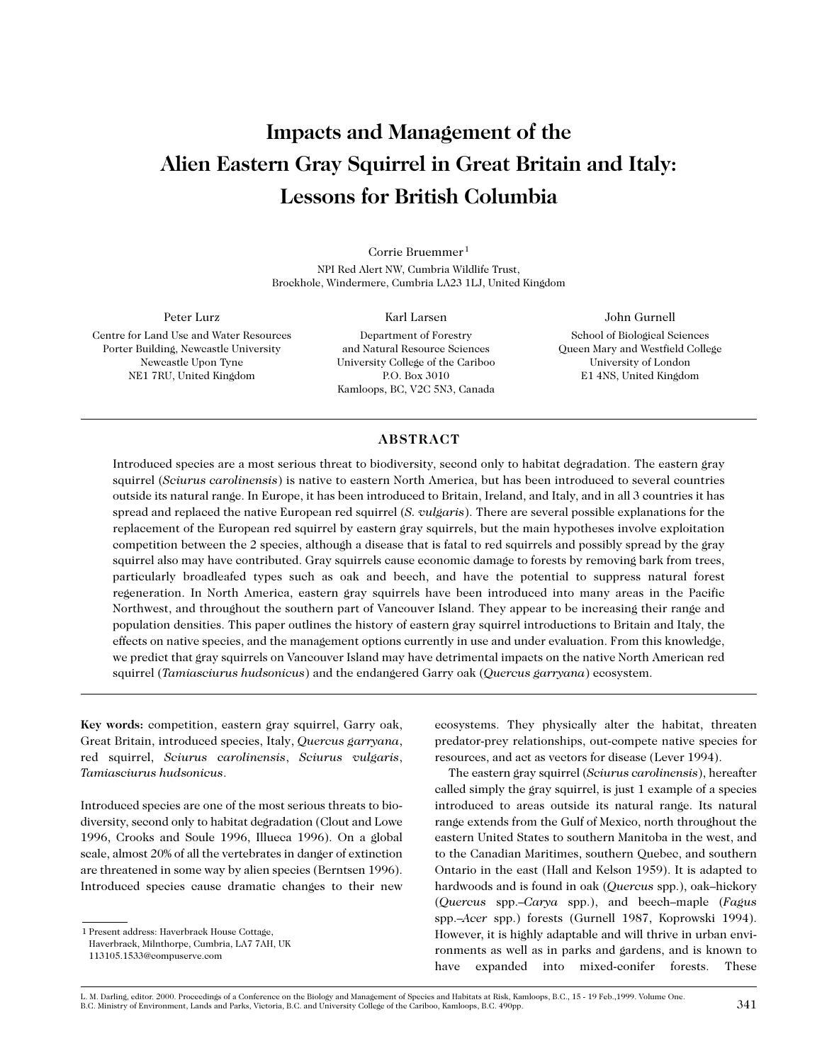# **Impacts and Management of the Alien Eastern Gray Squirrel in Great Britain and Italy: Lessons for British Columbia**

Corrie Bruemmer <sup>1</sup> NPI Red Alert NW, Cumbria Wildlife Trust, Brockhole, Windermere, Cumbria LA23 1LJ, United Kingdom

Peter Lurz Centre for Land Use and Water Resources Porter Building, Newcastle University Newcastle Upon Tyne

NE1 7RU, United Kingdom

Karl Larsen Department of Forestry and Natural Resource Sciences University College of the Cariboo P.O. Box 3010 Kamloops, BC, V2C 5N3, Canada

John Gurnell School of Biological Sciences Queen Mary and Westfield College University of London E1 4NS, United Kingdom

# **ABSTRACT**

Introduced species are a most serious threat to biodiversity, second only to habitat degradation. The eastern gray squirrel (*Sciurus carolinensis*) is native to eastern North America, but has been introduced to several countries outside its natural range. In Europe, it has been introduced to Britain, Ireland, and Italy, and in all 3 countries it has spread and replaced the native European red squirrel (*S. vulgaris*). There are several possible explanations for the replacement of the European red squirrel by eastern gray squirrels, but the main hypotheses involve exploitation competition between the 2 species, although a disease that is fatal to red squirrels and possibly spread by the gray squirrel also may have contributed. Gray squirrels cause economic damage to forests by removing bark from trees, particularly broadleafed types such as oak and beech, and have the potential to suppress natural forest regeneration. In North America, eastern gray squirrels have been introduced into many areas in the Pacific Northwest, and throughout the southern part of Vancouver Island. They appear to be increasing their range and population densities. This paper outlines the history of eastern gray squirrel introductions to Britain and Italy, the effects on native species, and the management options currently in use and under evaluation. From this knowledge, we predict that gray squirrels on Vancouver Island may have detrimental impacts on the native North American red squirrel (*Tamiasciurus hudsonicus*) and the endangered Garry oak (*Quercus garryana*) ecosystem.

**Key words:** competition, eastern gray squirrel, Garry oak, Great Britain, introduced species, Italy, *Quercus garryana*, red squirrel, *Sciurus carolinensis*, *Sciurus vulgaris*, *Tamiasciurus hudsonicus*.

Introduced species are one of the most serious threats to biodiversity, second only to habitat degradation (Clout and Lowe 1996, Crooks and Soule 1996, Illueca 1996). On a global scale, almost 20% of all the vertebrates in danger of extinction are threatened in some way by alien species (Berntsen 1996). Introduced species cause dramatic changes to their new

113105.1533@compuserve.com

ecosystems. They physically alter the habitat, threaten predator-prey relationships, out-compete native species for resources, and act as vectors for disease (Lever 1994).

The eastern gray squirrel (*Sciurus carolinensis*), hereafter called simply the gray squirrel, is just 1 example of a species introduced to areas outside its natural range. Its natural range extends from the Gulf of Mexico, north throughout the eastern United States to southern Manitoba in the west, and to the Canadian Maritimes, southern Quebec, and southern Ontario in the east (Hall and Kelson 1959). It is adapted to hardwoods and is found in oak (*Quercus* spp.), oak–hickory (*Quercus* spp.–*Carya* spp.), and beech–maple (*Fagus* spp.–*Acer* spp.) forests (Gurnell 1987, Koprowski 1994). However, it is highly adaptable and will thrive in urban environments as well as in parks and gardens, and is known to have expanded into mixed-conifer forests. These

<sup>1</sup> Present address: Haverbrack House Cottage, Haverbrack, Milnthorpe, Cumbria, LA7 7AH, UK

L. M. Darling, editor. 2000. Proceedings of a Conference on the Biology and Management of Species and Habitats at Risk, Kamloops, B.C., 15 - 19 Feb.,1999. Volume One. B.C. Ministry of Environment, Lands and Parks, Victoria, B.C. and University College of the Cariboo, Kamloops, B.C. 490pp. 341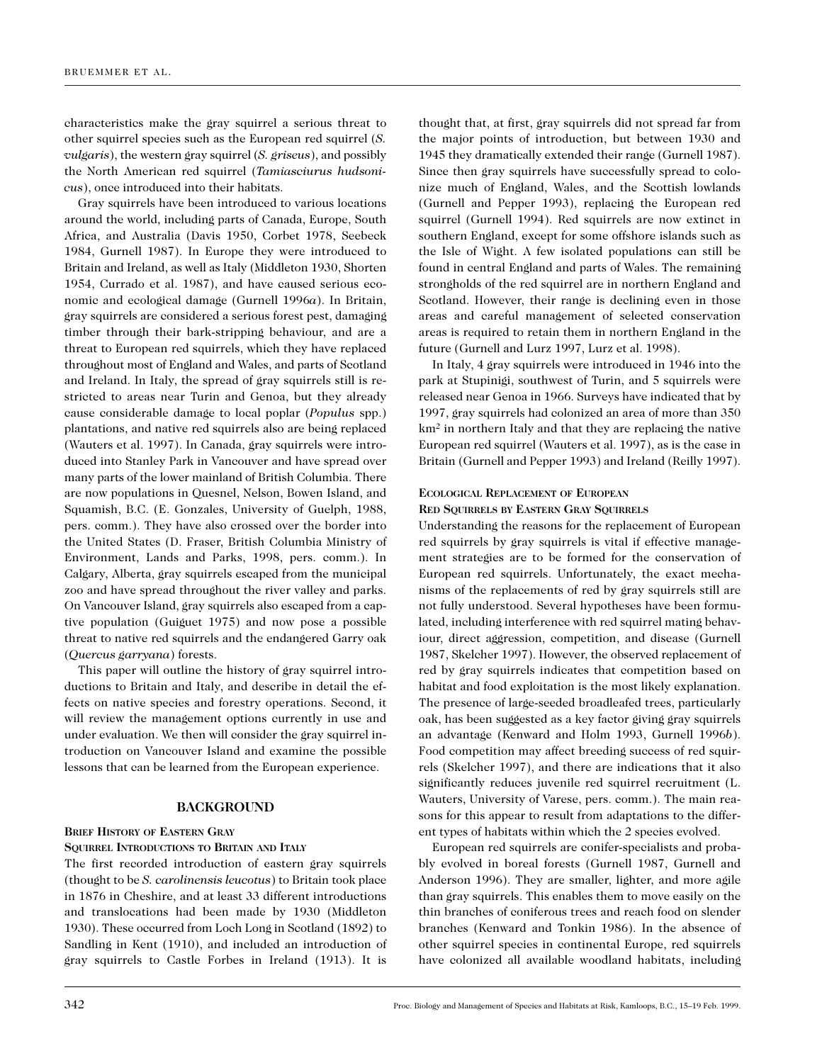characteristics make the gray squirrel a serious threat to other squirrel species such as the European red squirrel (*S. vulgaris*), the western gray squirrel (*S. griseus*), and possibly the North American red squirrel (*Tamiasciurus hudsonicus*), once introduced into their habitats.

Gray squirrels have been introduced to various locations around the world, including parts of Canada, Europe, South Africa, and Australia (Davis 1950, Corbet 1978, Seebeck 1984, Gurnell 1987). In Europe they were introduced to Britain and Ireland, as well as Italy (Middleton 1930, Shorten 1954, Currado et al. 1987), and have caused serious economic and ecological damage (Gurnell 1996*a*). In Britain, gray squirrels are considered a serious forest pest, damaging timber through their bark-stripping behaviour, and are a threat to European red squirrels, which they have replaced throughout most of England and Wales, and parts of Scotland and Ireland. In Italy, the spread of gray squirrels still is restricted to areas near Turin and Genoa, but they already cause considerable damage to local poplar (*Populus* spp.) plantations, and native red squirrels also are being replaced (Wauters et al. 1997). In Canada, gray squirrels were introduced into Stanley Park in Vancouver and have spread over many parts of the lower mainland of British Columbia. There are now populations in Quesnel, Nelson, Bowen Island, and Squamish, B.C. (E. Gonzales, University of Guelph, 1988, pers. comm.). They have also crossed over the border into the United States (D. Fraser, British Columbia Ministry of Environment, Lands and Parks, 1998, pers. comm.). In Calgary, Alberta, gray squirrels escaped from the municipal zoo and have spread throughout the river valley and parks. On Vancouver Island, gray squirrels also escaped from a captive population (Guiguet 1975) and now pose a possible threat to native red squirrels and the endangered Garry oak (*Quercus garryana*) forests.

This paper will outline the history of gray squirrel introductions to Britain and Italy, and describe in detail the effects on native species and forestry operations. Second, it will review the management options currently in use and under evaluation. We then will consider the gray squirrel introduction on Vancouver Island and examine the possible lessons that can be learned from the European experience.

# **BACKGROUND**

# **BRIEF HISTORY OF EASTERN GRAY**

## **SQUIRREL INTRODUCTIONS TO BRITAIN AND ITALY**

The first recorded introduction of eastern gray squirrels (thought to be *S. carolinensis leucotus*) to Britain took place in 1876 in Cheshire, and at least 33 different introductions and translocations had been made by 1930 (Middleton 1930). These occurred from Loch Long in Scotland (1892) to Sandling in Kent (1910), and included an introduction of gray squirrels to Castle Forbes in Ireland (1913). It is thought that, at first, gray squirrels did not spread far from the major points of introduction, but between 1930 and 1945 they dramatically extended their range (Gurnell 1987). Since then gray squirrels have successfully spread to colonize much of England, Wales, and the Scottish lowlands (Gurnell and Pepper 1993), replacing the European red squirrel (Gurnell 1994). Red squirrels are now extinct in southern England, except for some offshore islands such as the Isle of Wight. A few isolated populations can still be found in central England and parts of Wales. The remaining strongholds of the red squirrel are in northern England and Scotland. However, their range is declining even in those areas and careful management of selected conservation areas is required to retain them in northern England in the future (Gurnell and Lurz 1997, Lurz et al. 1998).

In Italy, 4 gray squirrels were introduced in 1946 into the park at Stupinigi, southwest of Turin, and 5 squirrels were released near Genoa in 1966. Surveys have indicated that by 1997, gray squirrels had colonized an area of more than 350 km2 in northern Italy and that they are replacing the native European red squirrel (Wauters et al. 1997), as is the case in Britain (Gurnell and Pepper 1993) and Ireland (Reilly 1997).

# **ECOLOGICAL REPLACEMENT OF EUROPEAN RED SQUIRRELS BY EASTERN GRAY SQUIRRELS**

Understanding the reasons for the replacement of European red squirrels by gray squirrels is vital if effective management strategies are to be formed for the conservation of European red squirrels. Unfortunately, the exact mechanisms of the replacements of red by gray squirrels still are not fully understood. Several hypotheses have been formulated, including interference with red squirrel mating behaviour, direct aggression, competition, and disease (Gurnell 1987, Skelcher 1997). However, the observed replacement of red by gray squirrels indicates that competition based on habitat and food exploitation is the most likely explanation. The presence of large-seeded broadleafed trees, particularly oak, has been suggested as a key factor giving gray squirrels an advantage (Kenward and Holm 1993, Gurnell 1996*b*). Food competition may affect breeding success of red squirrels (Skelcher 1997), and there are indications that it also significantly reduces juvenile red squirrel recruitment (L. Wauters, University of Varese, pers. comm.). The main reasons for this appear to result from adaptations to the different types of habitats within which the 2 species evolved.

European red squirrels are conifer-specialists and probably evolved in boreal forests (Gurnell 1987, Gurnell and Anderson 1996). They are smaller, lighter, and more agile than gray squirrels. This enables them to move easily on the thin branches of coniferous trees and reach food on slender branches (Kenward and Tonkin 1986). In the absence of other squirrel species in continental Europe, red squirrels have colonized all available woodland habitats, including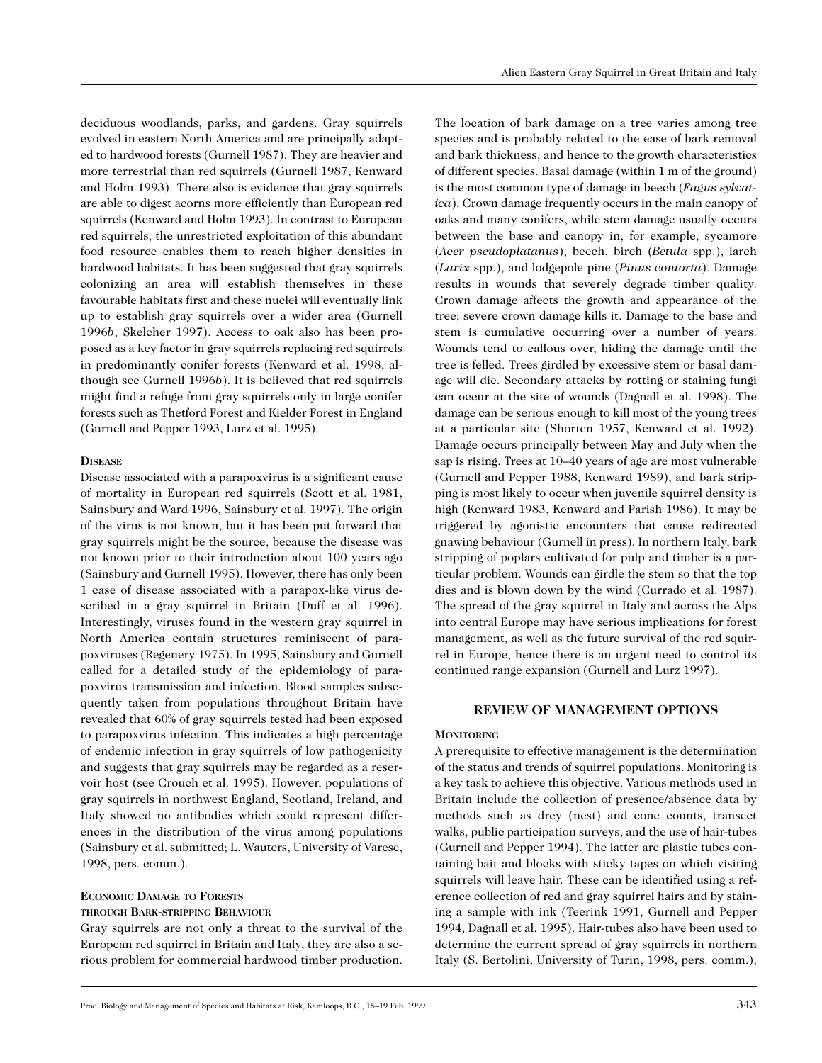deciduous woodlands, parks, and gardens. Gray squirrels evolved in eastern North America and are principally adapted to hardwood forests (Gurnell 1987). They are heavier and more terrestrial than red squirrels (Gurnell 1987, Kenward and Holm 1993). There also is evidence that gray squirrels are able to digest acorns more efficiently than European red squirrels (Kenward and Holm 1993). In contrast to European red squirrels, the unrestricted exploitation of this abundant food resource enables them to reach higher densities in hardwood habitats. It has been suggested that gray squirrels colonizing an area will establish themselves in these favourable habitats first and these nuclei will eventually link up to establish gray squirrels over a wider area (Gurnell 1996*b*, Skelcher 1997). Access to oak also has been proposed as a key factor in gray squirrels replacing red squirrels in predominantly conifer forests (Kenward et al. 1998, although see Gurnell 1996*b*). It is believed that red squirrels might find a refuge from gray squirrels only in large conifer forests such as Thetford Forest and Kielder Forest in England (Gurnell and Pepper 1993, Lurz et al. 1995).

#### **DISEASE**

Disease associated with a parapoxvirus is a significant cause of mortality in European red squirrels (Scott et al. 1981, Sainsbury and Ward 1996, Sainsbury et al. 1997). The origin of the virus is not known, but it has been put forward that gray squirrels might be the source, because the disease was not known prior to their introduction about 100 years ago (Sainsbury and Gurnell 1995). However, there has only been 1 case of disease associated with a parapox-like virus described in a gray squirrel in Britain (Duff et al. 1996). Interestingly, viruses found in the western gray squirrel in North America contain structures reminiscent of parapoxviruses (Regenery 1975). In 1995, Sainsbury and Gurnell called for a detailed study of the epidemiology of parapoxvirus transmission and infection. Blood samples subsequently taken from populations throughout Britain have revealed that 60% of gray squirrels tested had been exposed to parapoxvirus infection. This indicates a high percentage of endemic infection in gray squirrels of low pathogenicity and suggests that gray squirrels may be regarded as a reservoir host (see Crouch et al. 1995). However, populations of gray squirrels in northwest England, Scotland, Ireland, and Italy showed no antibodies which could represent differences in the distribution of the virus among populations (Sainsbury et al. submitted; L. Wauters, University of Varese, 1998, pers. comm.).

#### **ECONOMIC DAMAGE TO FORESTS**

#### **THROUGH BARK-STRIPPING BEHAVIOUR**

Gray squirrels are not only a threat to the survival of the European red squirrel in Britain and Italy, they are also a serious problem for commercial hardwood timber production.

The location of bark damage on a tree varies among tree species and is probably related to the ease of bark removal and bark thickness, and hence to the growth characteristics of different species. Basal damage (within 1 m of the ground) is the most common type of damage in beech (*Fagus sylvatica*). Crown damage frequently occurs in the main canopy of oaks and many conifers, while stem damage usually occurs between the base and canopy in, for example, sycamore (*Acer pseudoplatanus*), beech, birch (*Betula* spp.), larch (*Larix* spp.), and lodgepole pine (*Pinus contorta*). Damage results in wounds that severely degrade timber quality. Crown damage affects the growth and appearance of the tree; severe crown damage kills it. Damage to the base and stem is cumulative occurring over a number of years. Wounds tend to callous over, hiding the damage until the tree is felled. Trees girdled by excessive stem or basal damage will die. Secondary attacks by rotting or staining fungi can occur at the site of wounds (Dagnall et al. 1998). The damage can be serious enough to kill most of the young trees at a particular site (Shorten 1957, Kenward et al. 1992). Damage occurs principally between May and July when the sap is rising. Trees at 10–40 years of age are most vulnerable (Gurnell and Pepper 1988, Kenward 1989), and bark stripping is most likely to occur when juvenile squirrel density is high (Kenward 1983, Kenward and Parish 1986). It may be triggered by agonistic encounters that cause redirected gnawing behaviour (Gurnell in press). In northern Italy, bark stripping of poplars cultivated for pulp and timber is a particular problem. Wounds can girdle the stem so that the top dies and is blown down by the wind (Currado et al. 1987). The spread of the gray squirrel in Italy and across the Alps into central Europe may have serious implications for forest management, as well as the future survival of the red squirrel in Europe, hence there is an urgent need to control its continued range expansion (Gurnell and Lurz 1997).

# **REVIEW OF MANAGEMENT OPTIONS**

#### **MONITORING**

A prerequisite to effective management is the determination of the status and trends of squirrel populations. Monitoring is a key task to achieve this objective. Various methods used in Britain include the collection of presence/absence data by methods such as drey (nest) and cone counts, transect walks, public participation surveys, and the use of hair-tubes (Gurnell and Pepper 1994). The latter are plastic tubes containing bait and blocks with sticky tapes on which visiting squirrels will leave hair. These can be identified using a reference collection of red and gray squirrel hairs and by staining a sample with ink (Teerink 1991, Gurnell and Pepper 1994, Dagnall et al. 1995). Hair-tubes also have been used to determine the current spread of gray squirrels in northern Italy (S. Bertolini, University of Turin, 1998, pers. comm.),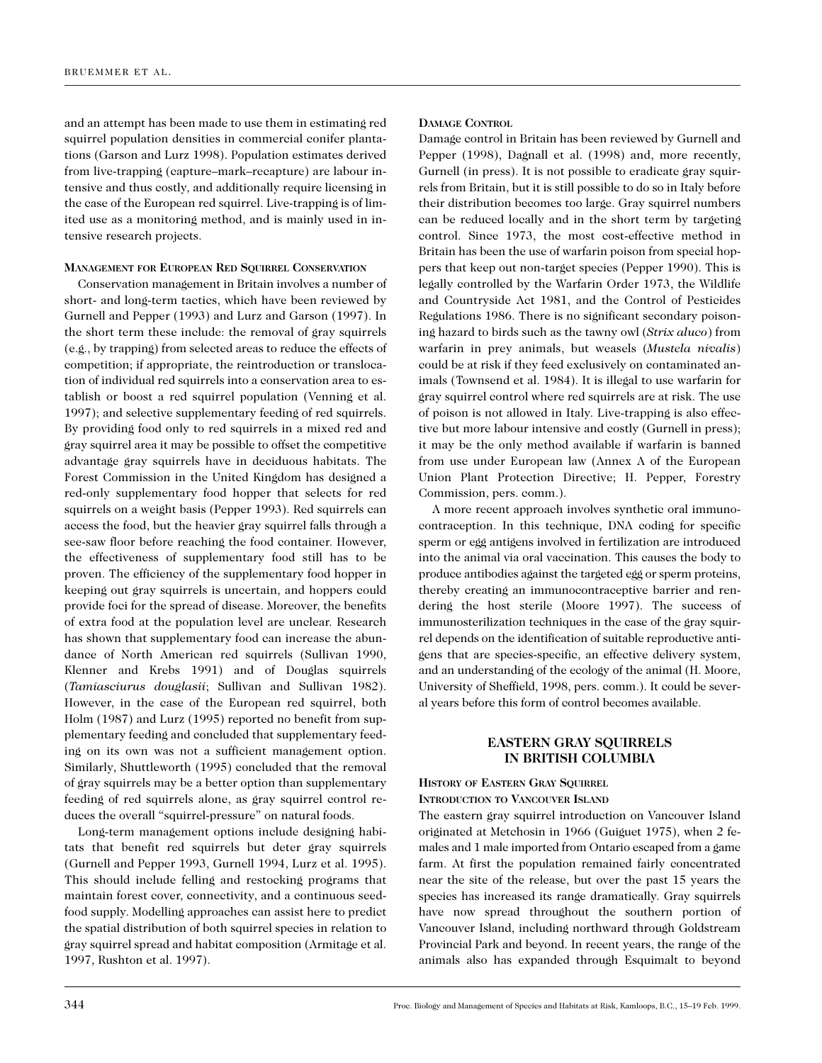and an attempt has been made to use them in estimating red squirrel population densities in commercial conifer plantations (Garson and Lurz 1998). Population estimates derived from live-trapping (capture–mark–recapture) are labour intensive and thus costly, and additionally require licensing in the case of the European red squirrel. Live-trapping is of limited use as a monitoring method, and is mainly used in intensive research projects.

#### **MANAGEMENT FOR EUROPEAN RED SQUIRREL CONSERVATION**

Conservation management in Britain involves a number of short- and long-term tactics, which have been reviewed by Gurnell and Pepper (1993) and Lurz and Garson (1997). In the short term these include: the removal of gray squirrels (e.g., by trapping) from selected areas to reduce the effects of competition; if appropriate, the reintroduction or translocation of individual red squirrels into a conservation area to establish or boost a red squirrel population (Venning et al. 1997); and selective supplementary feeding of red squirrels. By providing food only to red squirrels in a mixed red and gray squirrel area it may be possible to offset the competitive advantage gray squirrels have in deciduous habitats. The Forest Commission in the United Kingdom has designed a red-only supplementary food hopper that selects for red squirrels on a weight basis (Pepper 1993). Red squirrels can access the food, but the heavier gray squirrel falls through a see-saw floor before reaching the food container. However, the effectiveness of supplementary food still has to be proven. The efficiency of the supplementary food hopper in keeping out gray squirrels is uncertain, and hoppers could provide foci for the spread of disease. Moreover, the benefits of extra food at the population level are unclear. Research has shown that supplementary food can increase the abundance of North American red squirrels (Sullivan 1990, Klenner and Krebs 1991) and of Douglas squirrels (*Tamiasciurus douglasii*; Sullivan and Sullivan 1982). However, in the case of the European red squirrel, both Holm (1987) and Lurz (1995) reported no benefit from supplementary feeding and concluded that supplementary feeding on its own was not a sufficient management option. Similarly, Shuttleworth (1995) concluded that the removal of gray squirrels may be a better option than supplementary feeding of red squirrels alone, as gray squirrel control reduces the overall "squirrel-pressure" on natural foods.

Long-term management options include designing habitats that benefit red squirrels but deter gray squirrels (Gurnell and Pepper 1993, Gurnell 1994, Lurz et al. 1995). This should include felling and restocking programs that maintain forest cover, connectivity, and a continuous seedfood supply. Modelling approaches can assist here to predict the spatial distribution of both squirrel species in relation to gray squirrel spread and habitat composition (Armitage et al. 1997, Rushton et al. 1997).

#### **DAMAGE CONTROL**

Damage control in Britain has been reviewed by Gurnell and Pepper (1998), Dagnall et al. (1998) and, more recently, Gurnell (in press). It is not possible to eradicate gray squirrels from Britain, but it is still possible to do so in Italy before their distribution becomes too large. Gray squirrel numbers can be reduced locally and in the short term by targeting control. Since 1973, the most cost-effective method in Britain has been the use of warfarin poison from special hoppers that keep out non-target species (Pepper 1990). This is legally controlled by the Warfarin Order 1973, the Wildlife and Countryside Act 1981, and the Control of Pesticides Regulations 1986. There is no significant secondary poisoning hazard to birds such as the tawny owl (*Strix aluco*) from warfarin in prey animals, but weasels (*Mustela nivalis*) could be at risk if they feed exclusively on contaminated animals (Townsend et al. 1984). It is illegal to use warfarin for gray squirrel control where red squirrels are at risk. The use of poison is not allowed in Italy. Live-trapping is also effective but more labour intensive and costly (Gurnell in press); it may be the only method available if warfarin is banned from use under European law (Annex A of the European Union Plant Protection Directive; H. Pepper, Forestry Commission, pers. comm.).

A more recent approach involves synthetic oral immunocontraception. In this technique, DNA coding for specific sperm or egg antigens involved in fertilization are introduced into the animal via oral vaccination. This causes the body to produce antibodies against the targeted egg or sperm proteins, thereby creating an immunocontraceptive barrier and rendering the host sterile (Moore 1997). The success of immunosterilization techniques in the case of the gray squirrel depends on the identification of suitable reproductive antigens that are species-specific, an effective delivery system, and an understanding of the ecology of the animal (H. Moore, University of Sheffield, 1998, pers. comm.). It could be several years before this form of control becomes available.

# **EASTERN GRAY SQUIRRELS IN BRITISH COLUMBIA**

**HISTORY OF EASTERN GRAY SQUIRREL INTRODUCTION TO VANCOUVER ISLAND**

The eastern gray squirrel introduction on Vancouver Island originated at Metchosin in 1966 (Guiguet 1975), when 2 females and 1 male imported from Ontario escaped from a game farm. At first the population remained fairly concentrated near the site of the release, but over the past 15 years the species has increased its range dramatically. Gray squirrels have now spread throughout the southern portion of Vancouver Island, including northward through Goldstream Provincial Park and beyond. In recent years, the range of the animals also has expanded through Esquimalt to beyond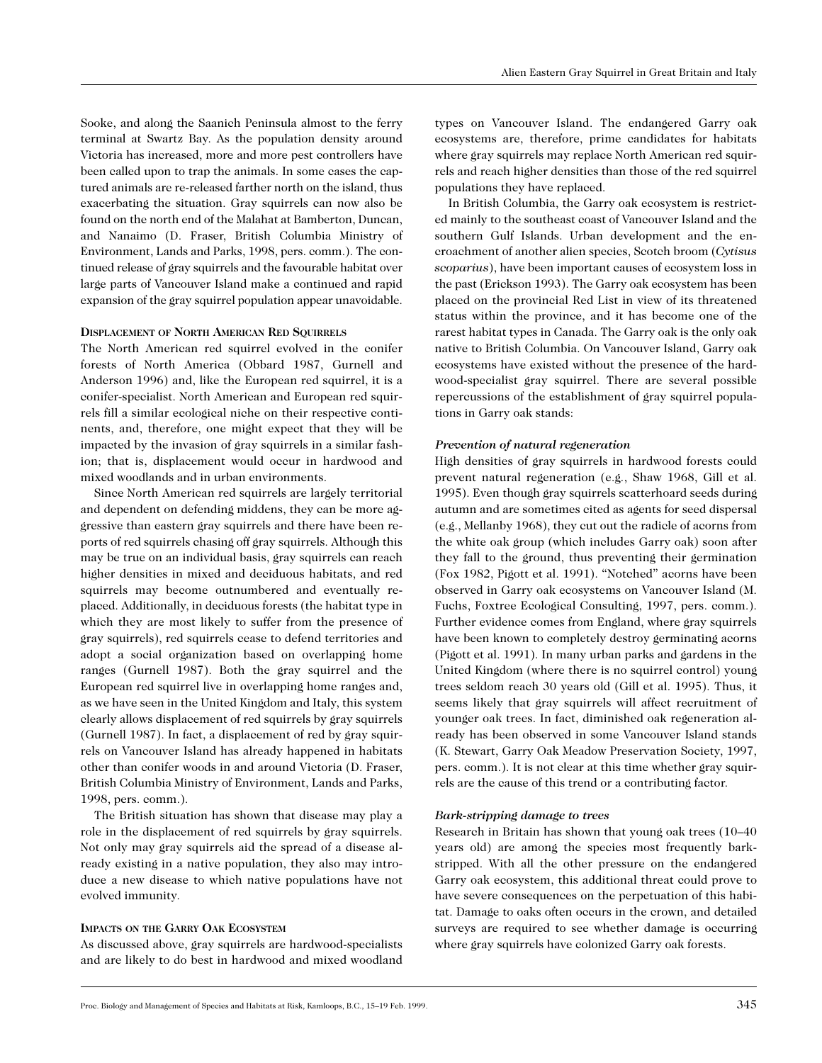Sooke, and along the Saanich Peninsula almost to the ferry terminal at Swartz Bay. As the population density around Victoria has increased, more and more pest controllers have been called upon to trap the animals. In some cases the captured animals are re-released farther north on the island, thus exacerbating the situation. Gray squirrels can now also be found on the north end of the Malahat at Bamberton, Duncan, and Nanaimo (D. Fraser, British Columbia Ministry of Environment, Lands and Parks, 1998, pers. comm.). The continued release of gray squirrels and the favourable habitat over large parts of Vancouver Island make a continued and rapid expansion of the gray squirrel population appear unavoidable.

#### **DISPLACEMENT OF NORTH AMERICAN RED SQUIRRELS**

The North American red squirrel evolved in the conifer forests of North America (Obbard 1987, Gurnell and Anderson 1996) and, like the European red squirrel, it is a conifer-specialist. North American and European red squirrels fill a similar ecological niche on their respective continents, and, therefore, one might expect that they will be impacted by the invasion of gray squirrels in a similar fashion; that is, displacement would occur in hardwood and mixed woodlands and in urban environments.

Since North American red squirrels are largely territorial and dependent on defending middens, they can be more aggressive than eastern gray squirrels and there have been reports of red squirrels chasing off gray squirrels. Although this may be true on an individual basis, gray squirrels can reach higher densities in mixed and deciduous habitats, and red squirrels may become outnumbered and eventually replaced. Additionally, in deciduous forests (the habitat type in which they are most likely to suffer from the presence of gray squirrels), red squirrels cease to defend territories and adopt a social organization based on overlapping home ranges (Gurnell 1987). Both the gray squirrel and the European red squirrel live in overlapping home ranges and, as we have seen in the United Kingdom and Italy, this system clearly allows displacement of red squirrels by gray squirrels (Gurnell 1987). In fact, a displacement of red by gray squirrels on Vancouver Island has already happened in habitats other than conifer woods in and around Victoria (D. Fraser, British Columbia Ministry of Environment, Lands and Parks, 1998, pers. comm.).

The British situation has shown that disease may play a role in the displacement of red squirrels by gray squirrels. Not only may gray squirrels aid the spread of a disease already existing in a native population, they also may introduce a new disease to which native populations have not evolved immunity.

#### **IMPACTS ON THE GARRY OAK ECOSYSTEM**

As discussed above, gray squirrels are hardwood-specialists and are likely to do best in hardwood and mixed woodland

types on Vancouver Island. The endangered Garry oak ecosystems are, therefore, prime candidates for habitats where gray squirrels may replace North American red squirrels and reach higher densities than those of the red squirrel populations they have replaced.

In British Columbia, the Garry oak ecosystem is restricted mainly to the southeast coast of Vancouver Island and the southern Gulf Islands. Urban development and the encroachment of another alien species, Scotch broom (*Cytisus scoparius*), have been important causes of ecosystem loss in the past (Erickson 1993). The Garry oak ecosystem has been placed on the provincial Red List in view of its threatened status within the province, and it has become one of the rarest habitat types in Canada. The Garry oak is the only oak native to British Columbia. On Vancouver Island, Garry oak ecosystems have existed without the presence of the hardwood-specialist gray squirrel. There are several possible repercussions of the establishment of gray squirrel populations in Garry oak stands:

#### *Prevention of natural regeneration*

High densities of gray squirrels in hardwood forests could prevent natural regeneration (e.g., Shaw 1968, Gill et al. 1995). Even though gray squirrels scatterhoard seeds during autumn and are sometimes cited as agents for seed dispersal (e.g., Mellanby 1968), they cut out the radicle of acorns from the white oak group (which includes Garry oak) soon after they fall to the ground, thus preventing their germination (Fox 1982, Pigott et al. 1991). "Notched" acorns have been observed in Garry oak ecosystems on Vancouver Island (M. Fuchs, Foxtree Ecological Consulting, 1997, pers. comm.). Further evidence comes from England, where gray squirrels have been known to completely destroy germinating acorns (Pigott et al. 1991). In many urban parks and gardens in the United Kingdom (where there is no squirrel control) young trees seldom reach 30 years old (Gill et al. 1995). Thus, it seems likely that gray squirrels will affect recruitment of younger oak trees. In fact, diminished oak regeneration already has been observed in some Vancouver Island stands (K. Stewart, Garry Oak Meadow Preservation Society, 1997, pers. comm.). It is not clear at this time whether gray squirrels are the cause of this trend or a contributing factor.

#### *Bark-stripping damage to trees*

Research in Britain has shown that young oak trees (10–40 years old) are among the species most frequently barkstripped. With all the other pressure on the endangered Garry oak ecosystem, this additional threat could prove to have severe consequences on the perpetuation of this habitat. Damage to oaks often occurs in the crown, and detailed surveys are required to see whether damage is occurring where gray squirrels have colonized Garry oak forests.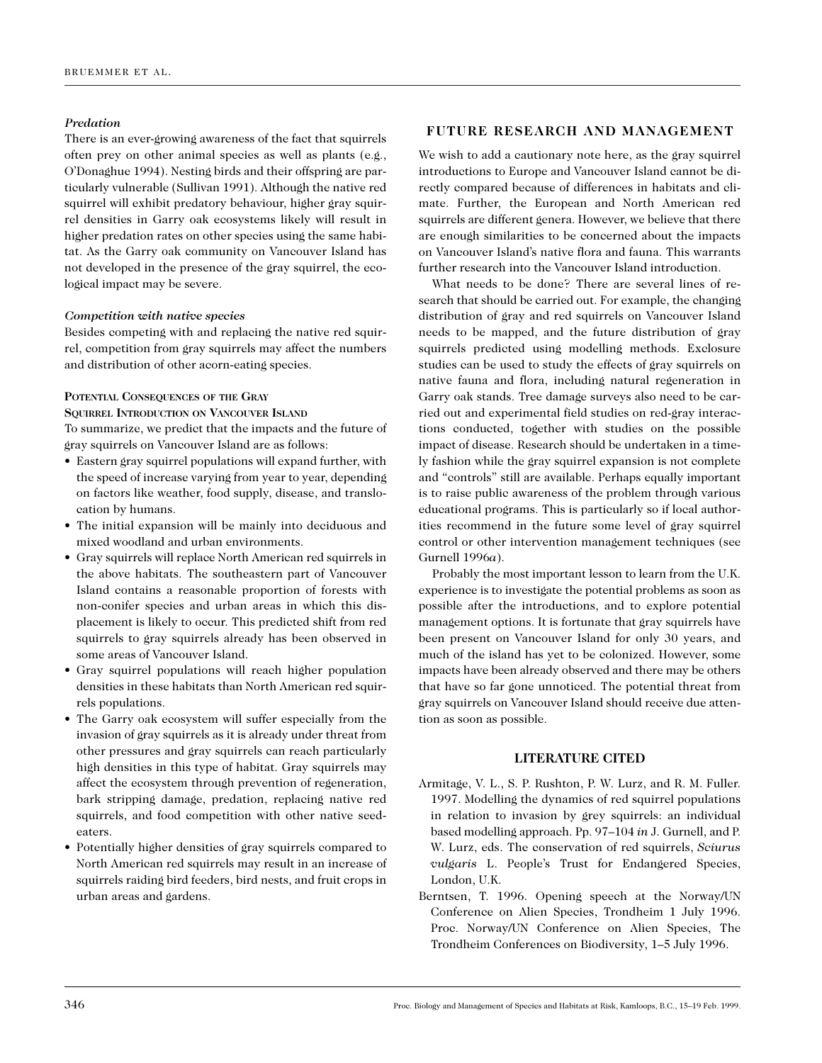# *Predation*

There is an ever-growing awareness of the fact that squirrels often prey on other animal species as well as plants (e.g., O'Donaghue 1994). Nesting birds and their offspring are particularly vulnerable (Sullivan 1991). Although the native red squirrel will exhibit predatory behaviour, higher gray squirrel densities in Garry oak ecosystems likely will result in higher predation rates on other species using the same habitat. As the Garry oak community on Vancouver Island has not developed in the presence of the gray squirrel, the ecological impact may be severe.

# *Competition with native species*

Besides competing with and replacing the native red squirrel, competition from gray squirrels may affect the numbers and distribution of other acorn-eating species.

# **POTENTIAL CONSEQUENCES OF THE GRAY**

**SQUIRREL INTRODUCTION ON VANCOUVER ISLAND** To summarize, we predict that the impacts and the future of gray squirrels on Vancouver Island are as follows:

- Eastern gray squirrel populations will expand further, with the speed of increase varying from year to year, depending on factors like weather, food supply, disease, and translocation by humans.
- The initial expansion will be mainly into deciduous and mixed woodland and urban environments.
- Gray squirrels will replace North American red squirrels in the above habitats. The southeastern part of Vancouver Island contains a reasonable proportion of forests with non-conifer species and urban areas in which this displacement is likely to occur. This predicted shift from red squirrels to gray squirrels already has been observed in some areas of Vancouver Island.
- Gray squirrel populations will reach higher population densities in these habitats than North American red squirrels populations.
- The Garry oak ecosystem will suffer especially from the invasion of gray squirrels as it is already under threat from other pressures and gray squirrels can reach particularly high densities in this type of habitat. Gray squirrels may affect the ecosystem through prevention of regeneration, bark stripping damage, predation, replacing native red squirrels, and food competition with other native seedeaters.
- Potentially higher densities of gray squirrels compared to North American red squirrels may result in an increase of squirrels raiding bird feeders, bird nests, and fruit crops in urban areas and gardens.

# **FUTURE RESEARCH AND MANAGEMENT**

We wish to add a cautionary note here, as the gray squirrel introductions to Europe and Vancouver Island cannot be directly compared because of differences in habitats and climate. Further, the European and North American red squirrels are different genera. However, we believe that there are enough similarities to be concerned about the impacts on Vancouver Island's native flora and fauna. This warrants further research into the Vancouver Island introduction.

What needs to be done? There are several lines of research that should be carried out. For example, the changing distribution of gray and red squirrels on Vancouver Island needs to be mapped, and the future distribution of gray squirrels predicted using modelling methods. Exclosure studies can be used to study the effects of gray squirrels on native fauna and flora, including natural regeneration in Garry oak stands. Tree damage surveys also need to be carried out and experimental field studies on red-gray interactions conducted, together with studies on the possible impact of disease. Research should be undertaken in a timely fashion while the gray squirrel expansion is not complete and "controls" still are available. Perhaps equally important is to raise public awareness of the problem through various educational programs. This is particularly so if local authorities recommend in the future some level of gray squirrel control or other intervention management techniques (see Gurnell 1996*a*).

Probably the most important lesson to learn from the U.K. experience is to investigate the potential problems as soon as possible after the introductions, and to explore potential management options. It is fortunate that gray squirrels have been present on Vancouver Island for only 30 years, and much of the island has yet to be colonized. However, some impacts have been already observed and there may be others that have so far gone unnoticed. The potential threat from gray squirrels on Vancouver Island should receive due attention as soon as possible.

#### **LITERATURE CITED**

- Armitage, V. L., S. P. Rushton, P. W. Lurz, and R. M. Fuller. 1997. Modelling the dynamics of red squirrel populations in relation to invasion by grey squirrels: an individual based modelling approach. Pp. 97–104 *in* J. Gurnell, and P. W. Lurz, eds. The conservation of red squirrels, *Sciurus vulgaris* L. People's Trust for Endangered Species, London, U.K.
- Berntsen, T. 1996. Opening speech at the Norway/UN Conference on Alien Species, Trondheim 1 July 1996. Proc. Norway/UN Conference on Alien Species, The Trondheim Conferences on Biodiversity, 1–5 July 1996.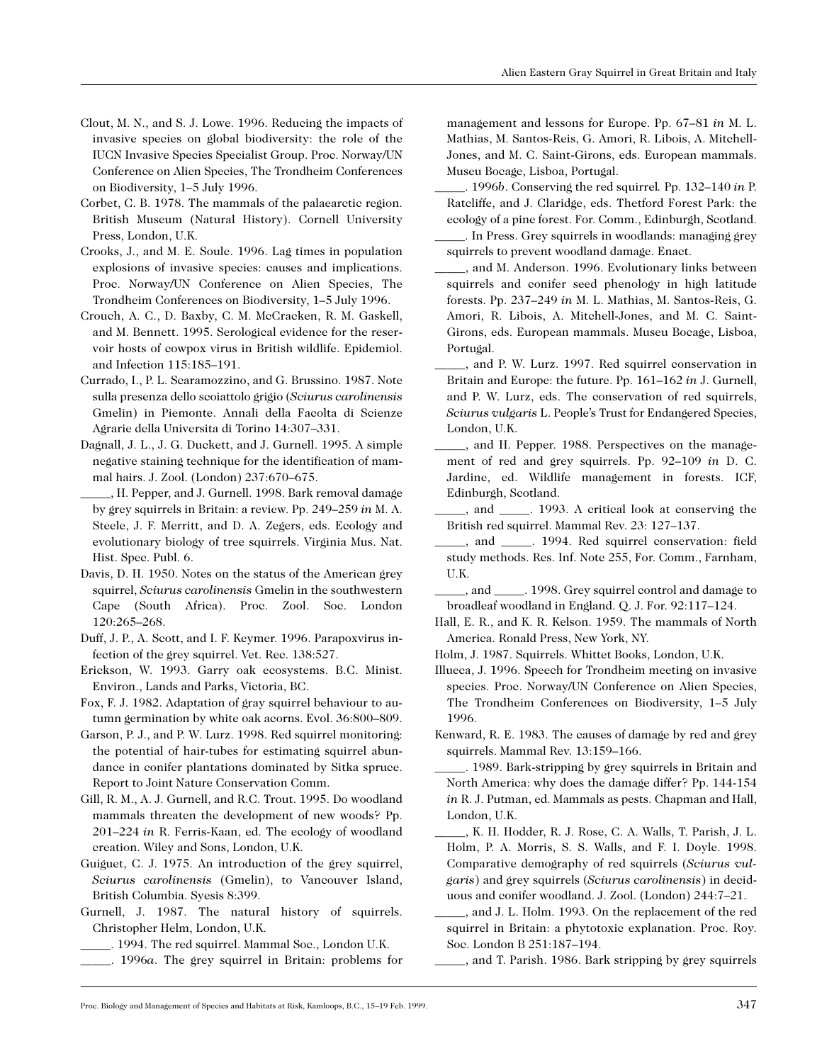- Clout, M. N., and S. J. Lowe. 1996. Reducing the impacts of invasive species on global biodiversity: the role of the IUCN Invasive Species Specialist Group. Proc. Norway/UN Conference on Alien Species, The Trondheim Conferences on Biodiversity, 1–5 July 1996.
- Corbet, C. B. 1978. The mammals of the palaearctic region. British Museum (Natural History). Cornell University Press, London, U.K.
- Crooks, J., and M. E. Soule. 1996. Lag times in population explosions of invasive species: causes and implications. Proc. Norway/UN Conference on Alien Species, The Trondheim Conferences on Biodiversity, 1–5 July 1996.
- Crouch, A. C., D. Baxby, C. M. McCracken, R. M. Gaskell, and M. Bennett. 1995. Serological evidence for the reservoir hosts of cowpox virus in British wildlife. Epidemiol. and Infection 115:185–191.
- Currado, I., P. L. Scaramozzino, and G. Brussino. 1987. Note sulla presenza dello scoiattolo grigio (*Sciurus carolinensis* Gmelin) in Piemonte. Annali della Facolta di Scienze Agrarie della Universita di Torino 14:307–331.
- Dagnall, J. L., J. G. Duckett, and J. Gurnell. 1995. A simple negative staining technique for the identification of mammal hairs. J. Zool. (London) 237:670–675.
- \_\_\_\_\_, H. Pepper, and J. Gurnell. 1998. Bark removal damage by grey squirrels in Britain: a review. Pp. 249–259 *in* M. A. Steele, J. F. Merritt, and D. A. Zegers, eds. Ecology and evolutionary biology of tree squirrels. Virginia Mus. Nat. Hist. Spec. Publ. 6.
- Davis, D. H. 1950. Notes on the status of the American grey squirrel, *Sciurus carolinensis* Gmelin in the southwestern Cape (South Africa). Proc. Zool. Soc. London 120:265–268.
- Duff, J. P., A. Scott, and I. F. Keymer. 1996. Parapoxvirus infection of the grey squirrel. Vet. Rec. 138:527.
- Erickson, W. 1993. Garry oak ecosystems. B.C. Minist. Environ., Lands and Parks, Victoria, BC.
- Fox, F. J. 1982. Adaptation of gray squirrel behaviour to autumn germination by white oak acorns. Evol. 36:800–809.
- Garson, P. J., and P. W. Lurz. 1998. Red squirrel monitoring: the potential of hair-tubes for estimating squirrel abundance in conifer plantations dominated by Sitka spruce. Report to Joint Nature Conservation Comm.
- Gill, R. M., A. J. Gurnell, and R.C. Trout. 1995. Do woodland mammals threaten the development of new woods? Pp. 201–224 *in* R. Ferris-Kaan, ed. The ecology of woodland creation. Wiley and Sons, London, U.K.
- Guiguet, C. J. 1975. An introduction of the grey squirrel, *Sciurus carolinensis* (Gmelin), to Vancouver Island, British Columbia. Syesis 8:399.
- Gurnell, J. 1987. The natural history of squirrels. Christopher Helm, London, U.K.
	- \_\_\_\_\_. 1994. The red squirrel. Mammal Soc., London U.K.
- \_\_\_\_\_. 1996*a*. The grey squirrel in Britain: problems for

management and lessons for Europe. Pp. 67–81 *in* M. L. Mathias, M. Santos-Reis, G. Amori, R. Libois, A. Mitchell-Jones, and M. C. Saint-Girons, eds. European mammals. Museu Bocage, Lisboa, Portugal.

\_\_\_\_\_. 1996*b*. Conserving the red squirrel*.* Pp. 132–140 *in* P. Ratcliffe, and J. Claridge, eds. Thetford Forest Park: the ecology of a pine forest. For. Comm., Edinburgh, Scotland.

- In Press. Grey squirrels in woodlands: managing grey squirrels to prevent woodland damage. Enact.
- \_\_\_\_\_, and M. Anderson. 1996. Evolutionary links between squirrels and conifer seed phenology in high latitude forests. Pp. 237–249 *in* M. L. Mathias, M. Santos-Reis, G. Amori, R. Libois, A. Mitchell-Jones, and M. C. Saint-Girons, eds. European mammals. Museu Bocage, Lisboa, Portugal.
- \_\_\_\_\_, and P. W. Lurz. 1997. Red squirrel conservation in Britain and Europe: the future. Pp. 161–162 *in* J. Gurnell, and P. W. Lurz, eds. The conservation of red squirrels, *Sciurus vulgaris* L. People's Trust for Endangered Species, London, U.K.
- \_\_\_\_\_, and H. Pepper. 1988. Perspectives on the management of red and grey squirrels. Pp. 92–109 *in* D. C. Jardine, ed. Wildlife management in forests. ICF, Edinburgh, Scotland.
- \_\_\_\_\_, and \_\_\_\_\_. 1993. A critical look at conserving the British red squirrel. Mammal Rev. 23: 127–137.
- \_\_\_\_\_, and \_\_\_\_\_. 1994. Red squirrel conservation: field study methods. Res. Inf. Note 255, For. Comm., Farnham, U.K.
- \_\_\_\_\_, and \_\_\_\_\_. 1998. Grey squirrel control and damage to broadleaf woodland in England. Q. J. For. 92:117–124.
- Hall, E. R., and K. R. Kelson. 1959. The mammals of North America. Ronald Press, New York, NY.
- Holm, J. 1987. Squirrels. Whittet Books, London, U.K.
- Illueca, J. 1996. Speech for Trondheim meeting on invasive species. Proc. Norway/UN Conference on Alien Species, The Trondheim Conferences on Biodiversity, 1–5 July 1996.
- Kenward, R. E. 1983. The causes of damage by red and grey squirrels. Mammal Rev. 13:159–166.
- \_\_\_\_\_. 1989. Bark-stripping by grey squirrels in Britain and North America: why does the damage differ? Pp. 144-154 *in* R. J. Putman, ed. Mammals as pests. Chapman and Hall, London, U.K.
- \_\_\_\_\_, K. H. Hodder, R. J. Rose, C. A. Walls, T. Parish, J. L. Holm, P. A. Morris, S. S. Walls, and F. I. Doyle. 1998. Comparative demography of red squirrels (*Sciurus vulgaris*) and grey squirrels (*Sciurus carolinensis*) in deciduous and conifer woodland. J. Zool. (London) 244:7–21.
- and J. L. Holm. 1993. On the replacement of the red squirrel in Britain: a phytotoxic explanation. Proc. Roy. Soc. London B 251:187–194.
- \_\_\_\_\_, and T. Parish. 1986. Bark stripping by grey squirrels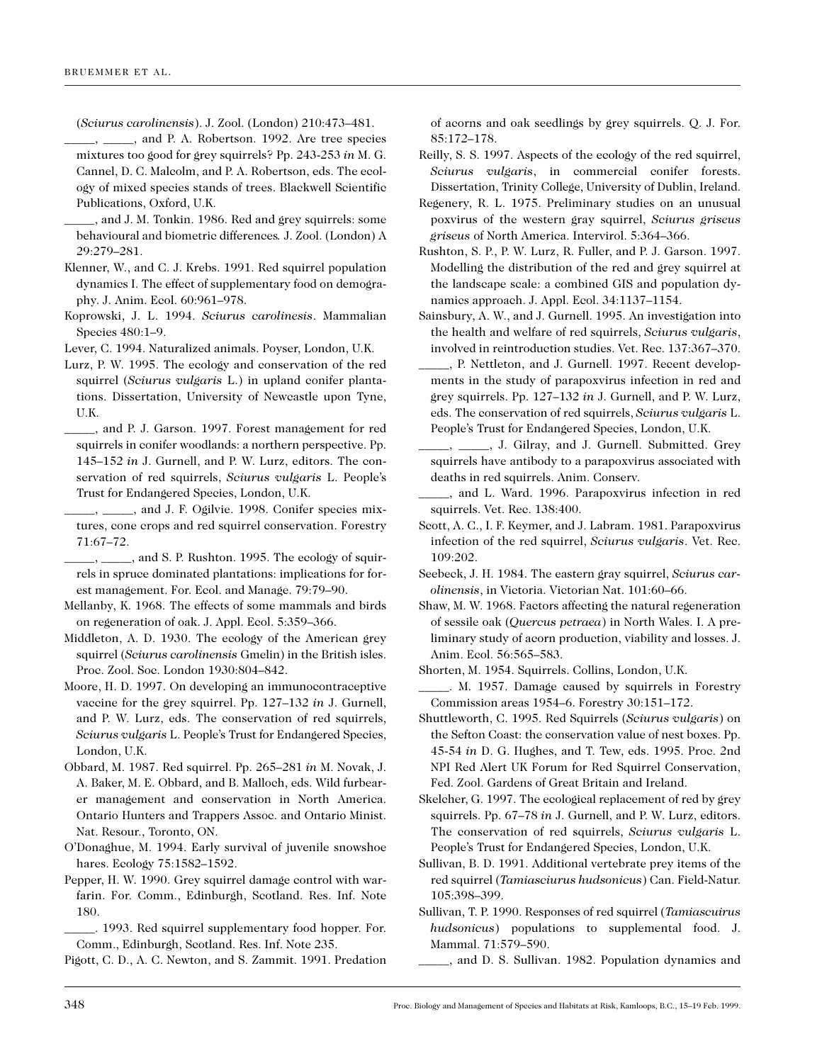(*Sciurus carolinensis*). J. Zool. (London) 210:473–481.

- $\_$ , and P. A. Robertson. 1992. Are tree species mixtures too good for grey squirrels? Pp. 243-253 *in* M. G. Cannel, D. C. Malcolm, and P. A. Robertson, eds. The ecology of mixed species stands of trees. Blackwell Scientific Publications, Oxford, U.K.
- and J. M. Tonkin. 1986. Red and grey squirrels: some behavioural and biometric differences*.* J. Zool. (London) A 29:279–281.
- Klenner, W., and C. J. Krebs. 1991. Red squirrel population dynamics I. The effect of supplementary food on demography. J. Anim. Ecol. 60:961–978.
- Koprowski, J. L. 1994. *Sciurus carolinesis*. Mammalian Species 480:1–9.
- Lever, C. 1994. Naturalized animals. Poyser, London, U.K.
- Lurz, P. W. 1995. The ecology and conservation of the red squirrel (*Sciurus vulgaris* L.) in upland conifer plantations. Dissertation, University of Newcastle upon Tyne, U.K.
- \_\_\_\_\_, and P. J. Garson. 1997. Forest management for red squirrels in conifer woodlands: a northern perspective. Pp. 145–152 *in* J. Gurnell, and P. W. Lurz, editors. The conservation of red squirrels, *Sciurus vulgaris* L. People's Trust for Endangered Species, London, U.K.
- <sub>-</sub>, \_\_\_\_\_, and J. F. Ogilvie. 1998. Conifer species mixtures, cone crops and red squirrel conservation. Forestry 71:67–72.

\_\_\_\_\_, \_\_\_\_\_, and S. P. Rushton. 1995. The ecology of squirrels in spruce dominated plantations: implications for forest management. For. Ecol. and Manage. 79:79–90.

- Mellanby, K. 1968. The effects of some mammals and birds on regeneration of oak. J. Appl. Ecol. 5:359–366.
- Middleton, A. D. 1930. The ecology of the American grey squirrel (*Sciurus carolinensis* Gmelin) in the British isles. Proc. Zool. Soc. London 1930:804–842.
- Moore, H. D. 1997. On developing an immunocontraceptive vaccine for the grey squirrel. Pp. 127–132 *in* J. Gurnell, and P. W. Lurz, eds. The conservation of red squirrels, *Sciurus vulgaris* L. People's Trust for Endangered Species, London, U.K.
- Obbard, M. 1987. Red squirrel. Pp. 265–281 *in* M. Novak, J. A. Baker, M. E. Obbard, and B. Malloch, eds. Wild furbearer management and conservation in North America. Ontario Hunters and Trappers Assoc. and Ontario Minist. Nat. Resour., Toronto, ON.
- O'Donaghue, M. 1994. Early survival of juvenile snowshoe hares. Ecology 75:1582–1592.
- Pepper, H. W. 1990. Grey squirrel damage control with warfarin. For. Comm., Edinburgh, Scotland. Res. Inf. Note 180.
- \_\_\_\_\_. 1993. Red squirrel supplementary food hopper. For. Comm., Edinburgh, Scotland. Res. Inf. Note 235.

Pigott, C. D., A. C. Newton, and S. Zammit. 1991. Predation

of acorns and oak seedlings by grey squirrels. Q. J. For. 85:172–178.

- Reilly, S. S. 1997. Aspects of the ecology of the red squirrel, *Sciurus vulgaris*, in commercial conifer forests. Dissertation, Trinity College, University of Dublin, Ireland.
- Regenery, R. L. 1975. Preliminary studies on an unusual poxvirus of the western gray squirrel, *Sciurus griseus griseus* of North America. Intervirol. 5:364–366.
- Rushton, S. P., P. W. Lurz, R. Fuller, and P. J. Garson. 1997. Modelling the distribution of the red and grey squirrel at the landscape scale: a combined GIS and population dynamics approach. J. Appl. Ecol. 34:1137–1154.
- Sainsbury, A. W., and J. Gurnell. 1995. An investigation into the health and welfare of red squirrels, *Sciurus vulgaris*, involved in reintroduction studies. Vet. Rec. 137:367–370.
- \_\_\_\_\_, P. Nettleton, and J. Gurnell. 1997. Recent developments in the study of parapoxvirus infection in red and grey squirrels. Pp. 127–132 *in* J. Gurnell, and P. W. Lurz, eds. The conservation of red squirrels, *Sciurus vulgaris* L. People's Trust for Endangered Species, London, U.K.
- \_\_\_\_\_, \_\_\_\_\_, J. Gilray, and J. Gurnell. Submitted. Grey squirrels have antibody to a parapoxvirus associated with deaths in red squirrels. Anim. Conserv.
- \_\_\_\_\_, and L. Ward. 1996. Parapoxvirus infection in red squirrels. Vet. Rec. 138:400.
- Scott, A. C., I. F. Keymer, and J. Labram. 1981. Parapoxvirus infection of the red squirrel, *Sciurus vulgaris*. Vet. Rec. 109:202.
- Seebeck, J. H. 1984. The eastern gray squirrel, *Sciurus carolinensis*, in Victoria. Victorian Nat. 101:60–66.
- Shaw, M. W. 1968. Factors affecting the natural regeneration of sessile oak (*Quercus petraea*) in North Wales. I. A preliminary study of acorn production, viability and losses. J. Anim. Ecol. 56:565–583.

Shorten, M. 1954. Squirrels. Collins, London, U.K.

- Shuttleworth, C. 1995. Red Squirrels (*Sciurus vulgaris*) on the Sefton Coast: the conservation value of nest boxes. Pp. 45-54 *in* D. G. Hughes, and T. Tew, eds. 1995. Proc. 2nd NPI Red Alert UK Forum for Red Squirrel Conservation, Fed. Zool. Gardens of Great Britain and Ireland.
- Skelcher, G. 1997. The ecological replacement of red by grey squirrels. Pp. 67–78 *in* J. Gurnell, and P. W. Lurz, editors. The conservation of red squirrels, *Sciurus vulgaris* L. People's Trust for Endangered Species, London, U.K.
- Sullivan, B. D. 1991. Additional vertebrate prey items of the red squirrel (*Tamiasciurus hudsonicus*) Can. Field-Natur. 105:398–399.
- Sullivan, T. P. 1990. Responses of red squirrel (*Tamiascuirus hudsonicus*) populations to supplemental food. J. Mammal. 71:579–590.
	- \_\_\_\_\_, and D. S. Sullivan. 1982. Population dynamics and

\_\_\_\_\_. M. 1957. Damage caused by squirrels in Forestry Commission areas 1954–6. Forestry 30:151–172.